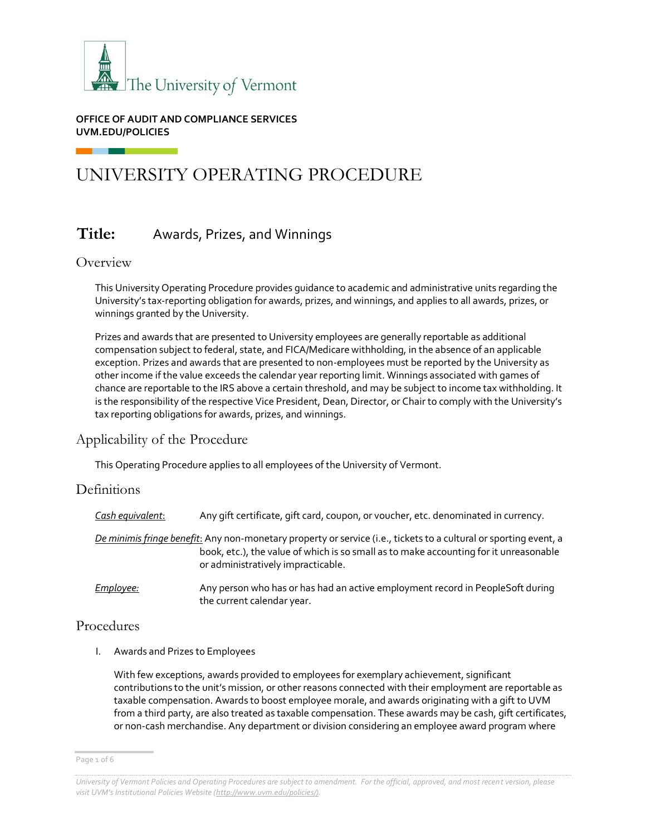

#### **OFFICE OF AUDIT AND COMPLIANCE SERVICES UVM.EDU/POLICIES**

# UNIVERSITY OPERATING PROCEDURE

## **Title:** Awards, Prizes, and Winnings

## Overview

This University Operating Procedure provides guidance to academic and administrative units regarding the University's tax-reporting obligation for awards, prizes, and winnings, and applies to all awards, prizes, or winnings granted by the University.

Prizes and awards that are presented to University employees are generally reportable as additional compensation subject to federal, state, and FICA/Medicare withholding, in the absence of an applicable exception. Prizes and awards that are presented to non-employees must be reported by the University as other income if the value exceeds the calendar year reporting limit. Winnings associated with games of chance are reportable to the IRS above a certain threshold, and may be subject to income tax withholding. It is the responsibility of the respective Vice President, Dean, Director, or Chair to comply with the University's tax reporting obligations for awards, prizes, and winnings.

## Applicability of the Procedure

This Operating Procedure applies to all employees of the University of Vermont.

## **Definitions**

| Cash equivalent: | Any gift certificate, gift card, coupon, or voucher, etc. denominated in currency.                                                                                                                                                                      |
|------------------|---------------------------------------------------------------------------------------------------------------------------------------------------------------------------------------------------------------------------------------------------------|
|                  | <u>De minimis fringe benefit:</u> Any non-monetary property or service (i.e., tickets to a cultural or sporting event, a<br>book, etc.), the value of which is so small as to make accounting for it unreasonable<br>or administratively impracticable. |
| Employee:        | Any person who has or has had an active employment record in PeopleSoft during<br>the current calendar year.                                                                                                                                            |

## Procedures

I. Awards and Prizes to Employees

With few exceptions, awards provided to employees for exemplary achievement, significant contributions to the unit's mission, or other reasons connected with their employment are reportable as taxable compensation. Awards to boost employee morale, and awards originating with a gift to UVM from a third party, are also treated as taxable compensation. These awards may be cash, gift certificates, or non-cash merchandise. Any department or division considering an employee award program where

Page 1 of 6

*University of Vermont Policies and Operating Procedures are subject to amendment. For the official, approved, and most recent version, please visit UVM's Institutional Policies Website ([http://www.uvm.edu/policies/\).](http://www.uvm.edu/policies/))*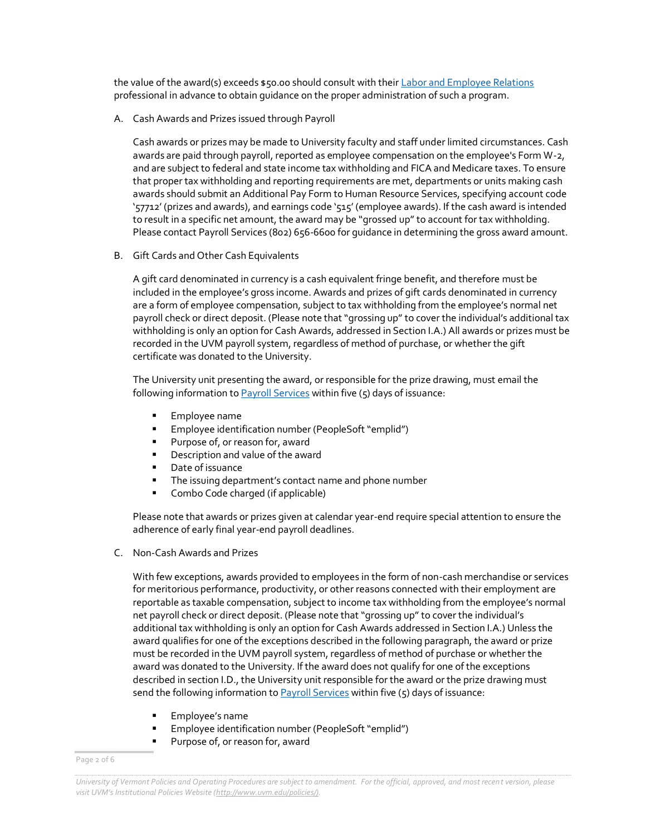the value of the award(s) exceeds \$50.00 should consult with thei[r Labor and Employee Relations](https://www.uvm.edu/hrs/labor-employee-relations) professional in advance to obtain guidance on the proper administration of such a program.

A. Cash Awards and Prizes issued through Payroll

Cash awards or prizes may be made to University faculty and staff under limited circumstances. Cash awards are paid through payroll, reported as employee compensation on the employee's Form W-2, and are subject to federal and state income tax withholding and FICA and Medicare taxes. To ensure that proper tax withholding and reporting requirements are met, departments or units making cash awards should submit an Additional Pay Form to Human Resource Services, specifying account code '57712' (prizes and awards), and earnings code '515' (employee awards). If the cash award is intended to result in a specific net amount, the award may be "grossed up" to account for tax withholding. Please contact Payroll Services (802) 656-6600 for guidance in determining the gross award amount.

B. Gift Cards and Other Cash Equivalents

A gift card denominated in currency is a cash equivalent fringe benefit, and therefore must be included in the employee's gross income. Awards and prizes of gift cards denominated in currency are a form of employee compensation, subject to tax withholding from the employee's normal net payroll check or direct deposit. (Please note that "grossing up" to cover the individual's additional tax withholding is only an option for Cash Awards, addressed in Section I.A.) All awards or prizes must be recorded in the UVM payroll system, regardless of method of purchase, or whether the gift certificate was donated to the University.

The University unit presenting the award, or responsible for the prize drawing, must email the following information to  $Payroll$  Services within five  $(5)$  days of issuance:

- Employee name
- **Employee identification number (PeopleSoft "emplid")**<br>**E** Purnose of or reason for, award
- Purpose of, or reason for, award
- **•** Description and value of the award
- **Date of issuance**
- **The issuing department's contact name and phone number**
- Combo Code charged (if applicable)

Please note that awards or prizes given at calendar year-end require special attention to ensure the adherence of early final year-end payroll deadlines.

C. Non-Cash Awards and Prizes

With few exceptions, awards provided to employees in the form of non-cash merchandise or services for meritorious performance, productivity, or other reasons connected with their employment are reportable as taxable compensation, subject to income tax withholding from the employee's normal net payroll check or direct deposit. (Please note that "grossing up" to cover the individual's additional tax withholding is only an option for Cash Awards addressed in Section I.A.) Unless the award qualifies for one of the exceptions described in the following paragraph, the award or prize must be recorded in the UVM payroll system, regardless of method of purchase or whether the award was donated to the University. If the award does not qualify for one of the exceptions described in section I.D., the University unit responsible for the award or the prize drawing must send the following information t[o Payroll Services](mailto:payroll@uvm.edu) within five  $(5)$  days of issuance:

- Employee's name
- Employee identification number (PeopleSoft "emplid")
- **Purpose of, or reason for, award**

Page 2 of 6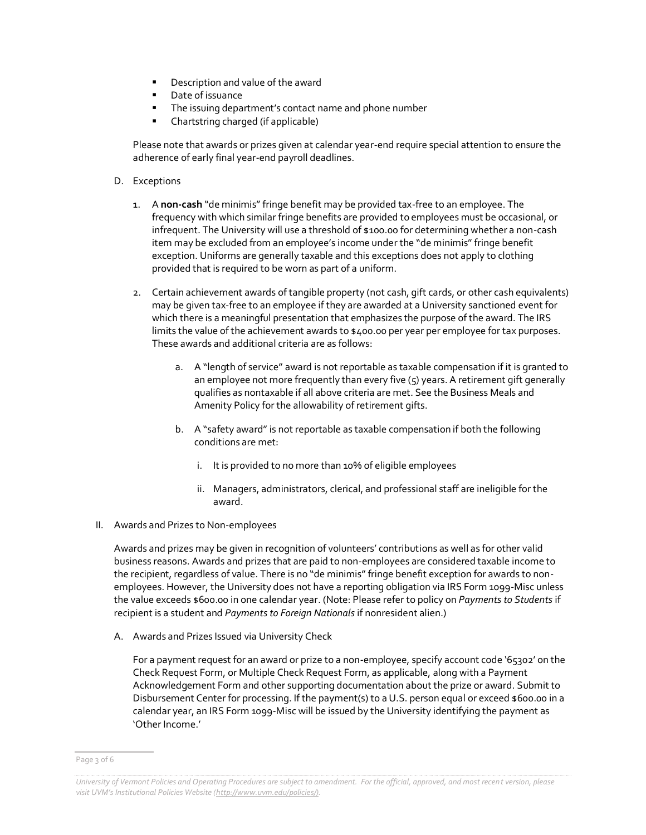- **•** Description and value of the award
- Date of issuance
- The issuing department's contact name and phone number
- Chartstring charged (if applicable)

Please note that awards or prizes given at calendar year-end require special attention to ensure the adherence of early final year-end payroll deadlines.

- D. Exceptions
	- 1. A **non-cash** "de minimis" fringe benefit may be provided tax-free to an employee. The frequency with which similar fringe benefits are provided to employees must be occasional, or infrequent. The University will use a threshold of \$100.00 for determining whether a non-cash item may be excluded from an employee's income under the "de minimis" fringe benefit exception. Uniforms are generally taxable and this exceptions does not apply to clothing provided that is required to be worn as part of a uniform.
	- 2. Certain achievement awards of tangible property (not cash, gift cards, or other cash equivalents) may be given tax-free to an employee if they are awarded at a University sanctioned event for which there is a meaningful presentation that emphasizes the purpose of the award. The IRS limits the value of the achievement awards to \$400.00 per year per employee for tax purposes. These awards and additional criteria are as follows:
		- a. A "length of service" award is not reportable as taxable compensation if it is granted to an employee not more frequently than every five (5) years. A retirement gift generally qualifies as nontaxable if all above criteria are met. See the Business Meals and Amenity Policy for the allowability of retirement gifts.
		- b. A "safety award" is not reportable as taxable compensation if both the following conditions are met:
			- i. It is provided to no more than 10% of eligible employees
			- ii. Managers, administrators, clerical, and professional staff are ineligible for the award.
- II. Awards and Prizes to Non-employees

Awards and prizes may be given in recognition of volunteers' contributions as well as for other valid business reasons. Awards and prizes that are paid to non-employees are considered taxable income to the recipient, regardless of value. There is no "de minimis" fringe benefit exception for awards to nonemployees. However, the University does not have a reporting obligation via IRS Form 1099-Misc unless the value exceeds \$600.00 in one calendar year. (Note: Please refer to policy on *Payments to Students* if recipient is a student and *Payments to Foreign Nationals* if nonresident alien.)

A. Awards and Prizes Issued via University Check

For a payment request for an award or prize to a non-employee, specify account code '65302' on the Check Request Form, or Multiple Check Request Form, as applicable, along with a Payment Acknowledgement Form and other supporting documentation about the prize or award. Submit to Disbursement Center for processing. If the payment(s) to a U.S. person equal or exceed \$600.00 in a calendar year, an IRS Form 1099-Misc will be issued by the University identifying the payment as 'Other Income.'

Page 3 of 6

*University of Vermont Policies and Operating Procedures are subject to amendment. For the official, approved, and most recent version, please visit UVM's Institutional Policies Website ([http://www.uvm.edu/policies/\).](http://www.uvm.edu/policies/))*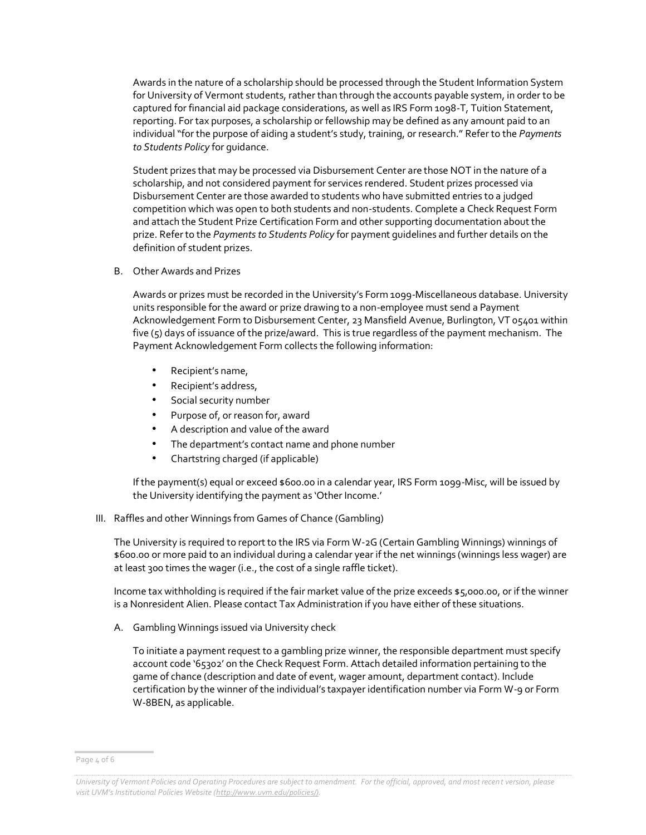Awards in the nature of a scholarship should be processed through the Student Information System for University of Vermont students, rather than through the accounts payable system, in order to be captured for financial aid package considerations, as well as IRS Form 1098-T, Tuition Statement, reporting. For tax purposes, a scholarship or fellowship may be defined as any amount paid to an individual "for the purpose of aiding a student's study, training, or research." Refer to the *Payments to Students Policy* for guidance.

Student prizes that may be processed via Disbursement Center are those NOT in the nature of a scholarship, and not considered payment for services rendered. Student prizes processed via Disbursement Center are those awarded to students who have submitted entries to a judged competition which was open to both students and non-students. Complete a Check Request Form and attach the Student Prize Certification Form and other supporting documentation about the prize. Refer to the *Payments to Students Policy* for payment guidelines and further details on the definition of student prizes.

B. Other Awards and Prizes

Awards or prizes must be recorded in the University's Form 1099-Miscellaneous database. University units responsible for the award or prize drawing to a non-employee must send a Payment Acknowledgement Form to Disbursement Center, 23 Mansfield Avenue, Burlington, VT 05401 within five (5) days of issuance of the prize/award. This is true regardless of the payment mechanism. The Payment Acknowledgement Form collects the following information:

- Recipient's name,
- Recipient's address,
- Social security number
- Purpose of, or reason for, award
- A description and value of the award
- The department's contact name and phone number
- Chartstring charged (if applicable)

If the payment(s) equal or exceed \$600.00 in a calendar year, IRS Form 1099-Misc, will be issued by the University identifying the payment as 'Other Income.'

III. Raffles and other Winnings from Games of Chance (Gambling)

The University is required to report to the IRS via Form W-2G (Certain Gambling Winnings) winnings of \$600.00 or more paid to an individual during a calendar year if the net winnings (winnings less wager) are at least 300 times the wager (i.e., the cost of a single raffle ticket).

Income tax withholding is required if the fair market value of the prize exceeds \$5,000.00, or if the winner is a Nonresident Alien. Please contact Tax Administration if you have either of these situations.

A. Gambling Winnings issued via University check

To initiate a payment request to a gambling prize winner, the responsible department must specify account code '65302' on the Check Request Form. Attach detailed information pertaining to the game of chance (description and date of event, wager amount, department contact). Include certification by the winner of the individual's taxpayer identification number via Form W-9 or Form W-8BEN, as applicable.

Page 4 of 6

*University of Vermont Policies and Operating Procedures are subject to amendment. For the official, approved, and most recent version, please visit UVM's Institutional Policies Website ([http://www.uvm.edu/policies/\).](http://www.uvm.edu/policies/))*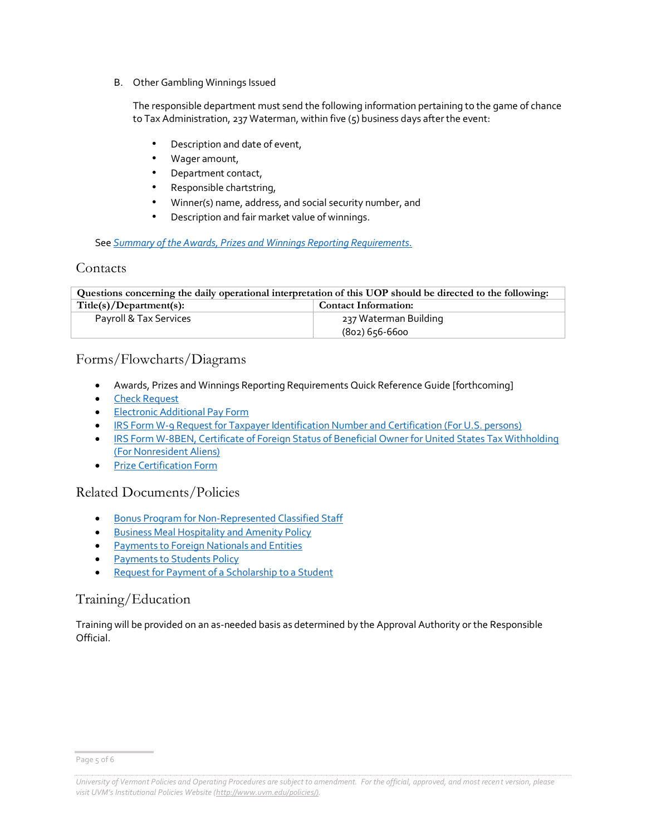B. Other Gambling Winnings Issued

The responsible department must send the following information pertaining to the game of chance to Tax Administration, 237 Waterman, within five (5) business days after the event:

- Description and date of event,
- Wager amount,
- Department contact,
- Responsible chartstring,
- Winner(s) name, address, and social security number, and
- Description and fair market value of winnings.

#### See *[Summary of the Awards, Prizes and Winnings Reporting Requirements.](http://www.uvm.edu/sites/default/files/media/awardsummary.pdf)*

### **Contacts**

**Questions concerning the daily operational interpretation of this UOP should be directed to the following:** Title(s)/Department(s): Contact Information: Payroll & Tax Services 237 Waterman Building (802) 656-6600

## Forms/Flowcharts/Diagrams

- Awards, Prizes and Winnings Reporting Requirements Quick Reference Guide [forthcoming]
- [Check Request](https://www.uvm.edu/sites/default/files/Division-of-Finance/Forms/checkrequestsingle.xlsx)
- **[Electronic Additional Pay Form](https://www.uvm.edu/sites/default/files/Division-of-Finance/Forms/additional_pay.xlsx)**
- [IRS Form W-9 Request for Taxpayer Identification Number and Certification \(For U.S. persons\)](http://www.irs.gov/pub/irs-pdf/fw9.pdf)
- [IRS Form W-8BEN, Certificate of Foreign Status of Beneficial Owner for United States Tax Withholding](http://www.irs.gov/file_source/pub/irs-pdf/fw8ben.pdf)  [\(For Nonresident Aliens\)](http://www.irs.gov/file_source/pub/irs-pdf/fw8ben.pdf)
- [Prize Certification Form](https://www.uvm.edu/sites/default/files/Division-of-Finance/Forms/prize_cert.pdf)

## Related Documents/Policies

- **[Bonus Program for Non-Represented Classified Staff](https://www.uvm.edu/hrs/non-represented-staff-compensation)**
- **[Business Meal Hospitality and Amenity Policy](https://www.uvm.edu/sites/default/files/UVM-Policies/policies/businessmeals.pdf)**
- [Payments to Foreign Nationals and Entities](https://www.uvm.edu/sites/default/files/UVM-Policies/policies/nonresidentaliens.pdf)
- [Payments to Students Policy](https://www.uvm.edu/sites/default/files/UVM-Policies/policies/payments2stu.pdf)
- [Request for Payment of a Scholarship to a Student](http://www.uvm.edu/~stdfinsv/paymentstostudents/)

## Training/Education

Training will be provided on an as-needed basis as determined by the Approval Authority or the Responsible Official.

Page 5 of 6

*University of Vermont Policies and Operating Procedures are subject to amendment. For the official, approved, and most recent version, please visit UVM's Institutional Policies Website ([http://www.uvm.edu/policies/\).](http://www.uvm.edu/policies/))*